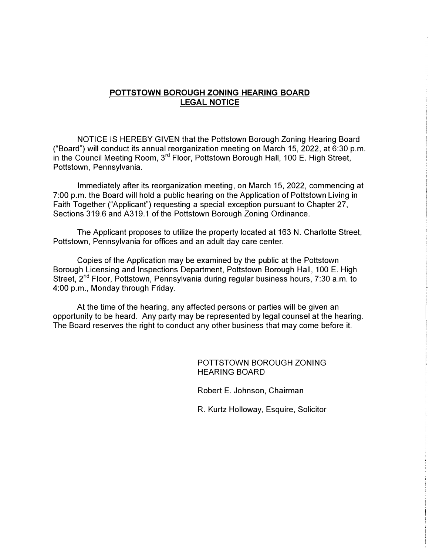#### **POTTSTOWN BOROUGH ZONING HEARING BOARD LEGAL NOTICE**

NOTICE IS HEREBY GIVEN that the Pottstown Borough Zoning Hearing Board ("Board") will conduct its annual reorganization meeting on March 15, 2022, at 6:30 p.m. in the Council Meeting Room, 3<sup>rd</sup> Floor, Pottstown Borough Hall, 100 E. High Street, Pottstown, Pennsylvania.

Immediately after its reorganization meeting, on March 15, 2022, commencing at 7:00 p.m. the Board will hold a public hearing on the Application of Pottstown Living in Faith Together ("Applicant") requesting a special exception pursuant to Chapter 27, Sections 319.6 and A319.1 of the Pottstown Borough Zoning Ordinance.

The Applicant proposes to utilize the property located at 163 N. Charlotte Street, Pottstown, Pennsylvania for offices and an adult day care center.

Copies of the Application may be examined by the public at the Pottstown Borough Licensing and Inspections Department, Pottstown Borough Hall, 100 E. High Street, 2<sup>nd</sup> Floor, Pottstown, Pennsylvania during regular business hours, 7:30 a.m. to 4:00 p.m., Monday through Friday.

At the time of the hearing, any affected persons or parties will be given an opportunity to be heard. Any party may be represented by legal counsel at the hearing. The Board reserves the right to conduct any other business that may come before it.

> POTTSTOWN BOROUGH ZONING HEARING BOARD

Robert E. Johnson, Chairman

R. Kurtz Holloway, Esquire, Solicitor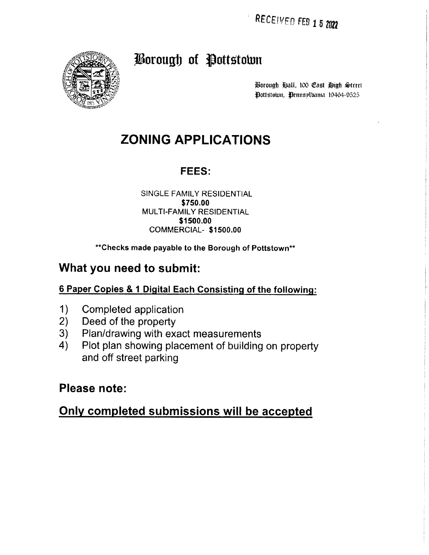RECEIVED FEB 1 5 2022



# Borough of Pottstown

Borough Ball, 100 Cast Bigh Street Pottstown, Pennsplbania 19464-9525

# **ZONING APPLICATIONS**

## FEES:

#### SINGLE FAMILY RESIDENTIAL \$750.00 MULTI-FAMILY RESIDENTIAL \$1500.00 COMMERCIAL-\$1500.00

#### \*\* Checks made payable to the Borough of Pottstown\*\*

# What you need to submit:

### 6 Paper Copies & 1 Digital Each Consisting of the following:

- $1)$ Completed application
- $2)$ Deed of the property
- Plan/drawing with exact measurements  $3)$
- 4) Plot plan showing placement of building on property and off street parking

## Please note:

# Only completed submissions will be accepted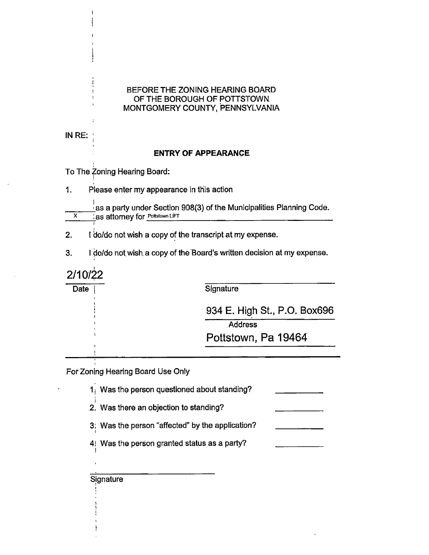#### BEFORE THE ZONING HEARING BOARD OF THE BOROUGH OF POTTSTOWN. MONTGOMERY COUNTY, PENNSYLVANIA

IN RE:

#### **ENTRY OF APPEARANCE**

To The Zoning Hearing Board:

 $\mathbf{1}$ . Please enter my appearance in this action

as a party under Section 908(3) of the Municipalities Planning Code.  $\overline{\mathbf{x}}$ Las attorney for Pottstown LIFT

I do/do not wish a copy of the transcript at my expense.  $2.$ 

 $3.$ I do/do not wish a copy of the Board's written decision at my expense.

2/10/22

Date

Signature

934 E. High St., P.O. Box696

**Address** 

Pottstown, Pa 19464

For Zoning Hearing Board Use Only

1. Was the person questioned about standing?

2. Was there an objection to standing?

3. Was the person "affected" by the application?

4! Was the person granted status as a party?

Signature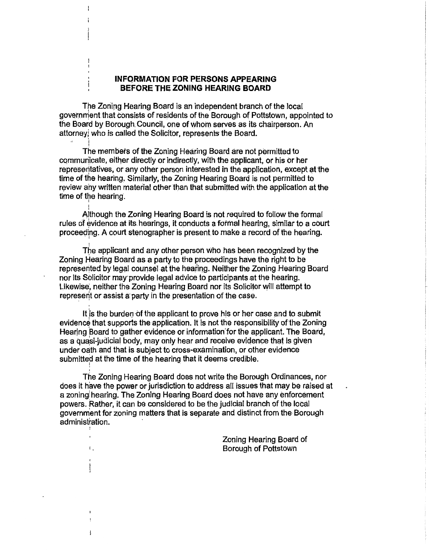#### **INFORMATION FOR PERSONS APPEARING** BEFORE THE ZONING HEARING BOARD

The Zoning Hearing Board is an independent branch of the local government that consists of residents of the Borough of Pottstown, appointed to the Board by Borough Council, one of whom serves as its chairperson. An attorney, who is called the Solicitor, represents the Board.

The members of the Zoning Hearing Board are not permitted to communicate, either directly or indirectly, with the applicant, or his or her representatives, or any other person interested in the application, except at the time of the hearing. Similarly, the Zoning Hearing Board is not permitted to review any written material other than that submitted with the application at the time of the hearing.

Although the Zoning Hearing Board is not required to follow the formal rules of evidence at its hearings, it conducts a formal hearing, similar to a court proceeding. A court stenographer is present to make a record of the hearing.

The applicant and any other person who has been recognized by the Zoning Hearing Board as a party to the proceedings have the right to be represented by legal counsel at the hearing. Neither the Zoning Hearing Board nor its Solicitor may provide legal advice to participants at the hearing. Likewise, neither the Zoning Hearing Board nor its Solicitor will attempt to represent or assist a party in the presentation of the case.

It is the burden of the applicant to prove his or her case and to submit evidence that supports the application. It is not the responsibility of the Zoning Hearing Board to gather evidence or information for the applicant. The Board, as a quasi-judicial body, may only hear and receive evidence that is given under oath and that is subject to cross-examination, or other evidence submitted at the time of the hearing that it deems credible.

The Zoning Hearing Board does not write the Borough Ordinances, nor does it have the power or jurisdiction to address all issues that may be raised at a zoning hearing. The Zoning Hearing Board does not have any enforcement powers. Rather, it can be considered to be the judicial branch of the local government for zoning matters that is separate and distinct from the Borough administration.

 $\mathbf{C}_{\mathbf{A}}$ 

ł

Zoning Hearing Board of Borough of Pottstown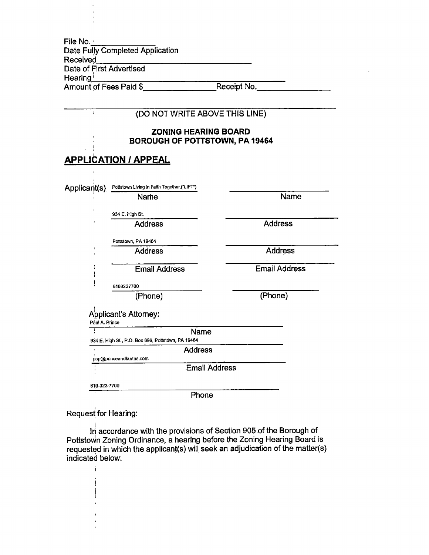File No. Date Fully Completed Application Received Date of First Advertised Hearing<sup>1</sup> Amount of Fees Paid \$

Receipt No.

|                     | (DO NOT WRITE ABOVE THIS LINE)                                       |                      |
|---------------------|----------------------------------------------------------------------|----------------------|
|                     | <b>ZONING HEARING BOARD</b><br><b>BOROUGH OF POTTSTOWN, PA 19464</b> |                      |
|                     | <u>APPLICATION / APPEAL</u>                                          |                      |
|                     |                                                                      |                      |
| Applicant(s)        | Pottstown Living in Faith Together ("LIFT")<br>Name                  | Name                 |
|                     | 934 E. High St.                                                      |                      |
| ł                   | <b>Address</b>                                                       | <b>Address</b>       |
|                     | Pottstown, PA 19464                                                  |                      |
|                     | <b>Address</b>                                                       | <b>Address</b>       |
|                     | <b>Email Address</b>                                                 | <b>Email Address</b> |
|                     | 6103237700                                                           |                      |
|                     | (Phone)                                                              | (Phone)              |
| Paul A. Prince<br>ì | Applicant's Attorney:<br>Name                                        |                      |
|                     | 934 E. High St., P.O. Box 696, Pottstown, PA 19464<br><b>Address</b> |                      |
|                     | pap@princeandkurtas.com                                              |                      |
|                     | <b>Email Address</b>                                                 |                      |
| 610-323-7700        |                                                                      |                      |
|                     | Phone                                                                |                      |

Request for Hearing:

 $\mathbf{i}$ 

In accordance with the provisions of Section 905 of the Borough of Pottstown Zoning Ordinance, a hearing before the Zoning Hearing Board is requested in which the applicant(s) will seek an adjudication of the matter(s) indicated below: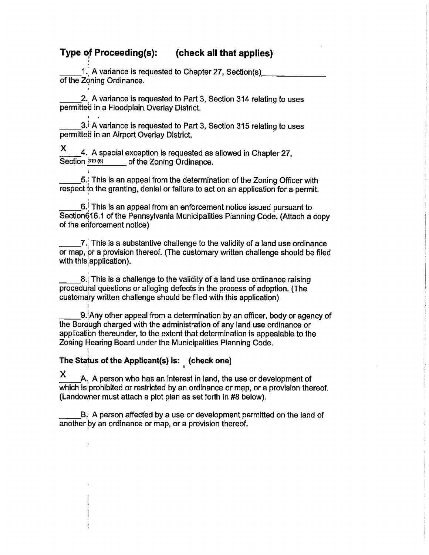#### Type of Proceeding(s): (check all that applies)

1. A variance is requested to Chapter 27, Section(s) of the Zoning Ordinance.

2. A variance is requested to Part 3, Section 314 relating to uses permitted in a Floodplain Overlay District.

3. A variance is requested to Part 3, Section 315 relating to uses permitted in an Airport Overlay District.

X 4. A special exception is requested as allowed in Chapter 27, Section 319 (6) of the Zoning Ordinance.

5. This is an appeal from the determination of the Zoning Officer with respect to the granting, denial or failure to act on an application for a permit.

 $6$ . This is an appeal from an enforcement notice issued pursuant to Section616.1 of the Pennsylvania Municipalities Planning Code. (Attach a copy of the enforcement notice)

7. This is a substantive challenge to the validity of a land use ordinance or map, or a provision thereof. (The customary written challenge should be filed with this application).

8. This is a challenge to the validity of a land use ordinance raising procedural questions or alleging defects in the process of adoption. (The customary written challenge should be filed with this application)

9. Any other appeal from a determination by an officer, body or agency of the Borough charged with the administration of any land use ordinance or application thereunder, to the extent that determination is appealable to the Zoning Hearing Board under the Municipalities Planning Code.

### The Status of the Applicant(s) is: (check one)

X A. A person who has an interest in land, the use or development of which is prohibited or restricted by an ordinance or map, or a provision thereof. (Landowner must attach a plot plan as set forth in #8 below).

B. A person affected by a use or development permitted on the land of another by an ordinance or map, or a provision thereof.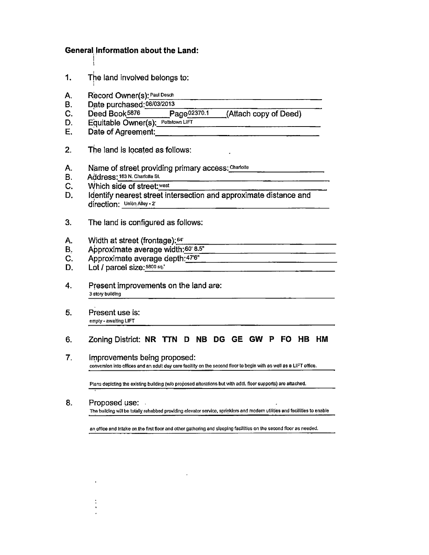#### **General Information about the Land:**

- $1.$ The land involved belongs to:
- A. Record Owner(s): Paul Desch
- Date purchased: 06/03/2013 **B.**
- $C_{\cdot}$ Deed Book5876 Page02370.1
- Equitable Owner(s): Pottstown LIFT D.
- E. Date of Agreement:
- $2<sub>1</sub>$ The land is located as follows:
- Name of street providing primary access: Charlotte A.
- Address: 163 N. Charlotte St. **B.**
- C. Which side of street: west
- D. Identify nearest street intersection and approximate distance and direction. Union Alley - 2

(Attach copy of Deed)

- $3.$ The land is configured as follows:
- Width at street (frontage): 64' A.
- Approximate average width:60' 8.5" **B.**
- C. Approximate average depth: 47'6"
- Lot / parcel size: 5800 sq.' D.
- Present improvements on the land are: 4. 3 story building
- $5<sub>1</sub>$ Present use is: empty - awaiting LIFT

#### $6.$ Zoning District: NR TTN D NB DG GE GW P FO HB HM

 $\overline{7}$ . Improvements being proposed: conversion into offices and an adult day care facility on the second floor to begin with as well as a LIFT office.

Plans depicting the existing building (w/o proposed alterations but with addi. floor supports) are attached.

8. Proposed use: The building will be totally rehabbed providing elevator service, sprinklers and modern utilities and facillities to enable

an office and intake on the first floor and other gathering and sleeping facilities on the second floor as needed.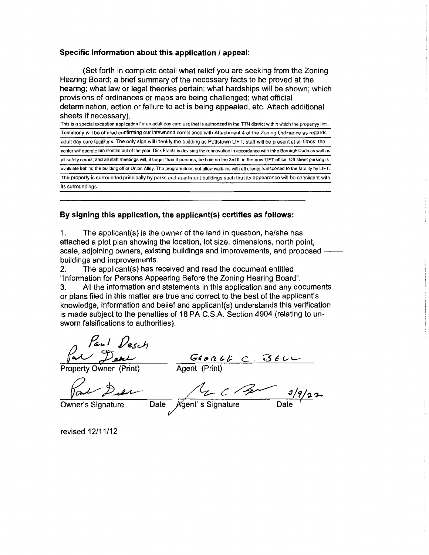#### Specific Information about this application / appeal:

(Set forth in complete detail what relief you are seeking from the Zoning Hearing Board; a brief summary of the necessary facts to be proved at the hearing; what law or legal theories pertain; what hardships will be shown; which provisions of ordinances or maps are being challenged; what official determination, action or failure to act is being appealed, etc. Attach additional sheets if necessary).

This is a special exception application for an adult day care use that is authorized in the TTN district within which the propertyy lies. Testimony will be offered confirming our intewnded compliance with Attachment 4 of the Zoning Ordinance as regards adult day care facilities. The only sign will identify the building as Pottstown LIFT; staff will be present at all times; the center will operate ten months out of the year; Dick Frantz is devising the rennovation in accordance with thhe Borough Code as well as all safety codes; and all staff meetings will, if larger than 3 persons, be held on the 3rd fl. in the new LIFT office. Off street parking is available behind the building off of Union Alley. The program does not allow walk-ins with all clients transported to the facility by LIFT. The property is surrounded principally by parks and apartment buildings such that its appearance will be consistent with its surroundings.

#### By signing this application, the applicant(s) certifies as follows:

1. The applicant(s) is the owner of the land in question, he/she has attached a plot plan showing the location, lot size, dimensions, north point, scale, adjoining owners, existing buildings and improvements, and proposed buildings and improvements.

The applicant(s) has received and read the document entitled 2. "Information for Persons Appearing Before the Zoning Hearing Board".

All the information and statements in this application and any documents 3. or plans filed in this matter are true and correct to the best of the applicant's knowledge, information and belief and applicant(s) understands this verification is made subject to the penalties of 18 PA C.S.A. Section 4904 (relating to unsworn falsifications to authorities).

Paul Desch

Froperty Owner (Print)<br>
Froperty Owner (Print)<br>
Froperty Owner (Print)<br>
From Delle Agent (Print)<br>
Owner's Signature Date Agent's Signature Date

revised 12/11/12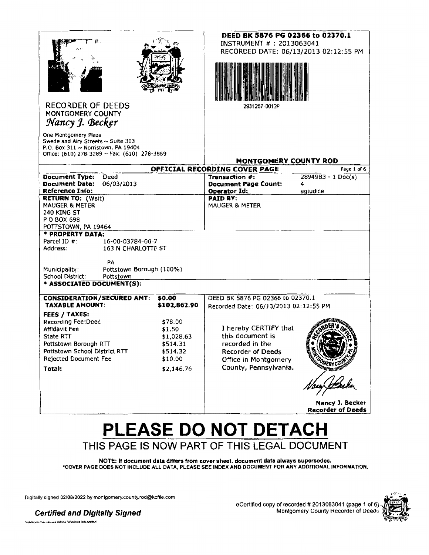| 暮.<br><b>RECORDER OF DEEDS</b><br>MONTGOMERY COUNTY<br>Nancy J. Becker                                                                                 |              | DEED BK 5876 PG 02366 to 02370.1<br>INSTRUMENT # : 2013063041<br>RECORDED DATE: 06/13/2013 02:12:55 PM<br>2931257-0012P |                                             |
|--------------------------------------------------------------------------------------------------------------------------------------------------------|--------------|-------------------------------------------------------------------------------------------------------------------------|---------------------------------------------|
| One Montgomery Plaza<br>Swede and Airy Streets ~ Suite 303<br>P.O. Box 311 ~ Norristown, PA 19404<br>Office: (610) 278-3289 $\sim$ Fax: (610) 278-3869 |              | MONTGOMERY COUNTY ROD                                                                                                   |                                             |
|                                                                                                                                                        |              | OFFICIAL RECORDING COVER PAGE                                                                                           | Page 1 of 6                                 |
| <b>Document Type:</b><br>Deed                                                                                                                          |              | Transaction #:                                                                                                          | $2894983 - 1$ Doc(s)                        |
| <b>Document Date:</b><br>06/03/2013                                                                                                                    |              | <b>Document Page Count:</b>                                                                                             | 4                                           |
| <b>Reference Info:</b>                                                                                                                                 |              | Operator Id:                                                                                                            | agiudice                                    |
| <b>RETURN TO: (Wait)</b>                                                                                                                               |              | <b>PAID BY:</b>                                                                                                         |                                             |
| <b>MAUGER &amp; METER</b>                                                                                                                              |              | MAUGER & METER                                                                                                          |                                             |
| 240 KING ST                                                                                                                                            |              |                                                                                                                         |                                             |
| P O BOX 698                                                                                                                                            |              |                                                                                                                         |                                             |
| POTTSTOWN, PA 19464                                                                                                                                    |              |                                                                                                                         |                                             |
| * PROPERTY DATA:                                                                                                                                       |              |                                                                                                                         |                                             |
| Parcel ID #:<br>16-00-03784-00-7<br>163 N CHARLOTTE ST                                                                                                 |              |                                                                                                                         |                                             |
| Address:                                                                                                                                               |              |                                                                                                                         |                                             |
| PA                                                                                                                                                     |              |                                                                                                                         |                                             |
| Municipality:<br>Pottstown Borough (100%)                                                                                                              |              |                                                                                                                         |                                             |
| School District:<br>Pottstown                                                                                                                          |              |                                                                                                                         |                                             |
| * ASSOCIATED DOCUMENT(S):                                                                                                                              |              |                                                                                                                         |                                             |
|                                                                                                                                                        |              |                                                                                                                         |                                             |
| <b>CONSIDERATION/SECURED AMT:</b>                                                                                                                      | \$0.00       | DEED BK 5876 PG 02366 to 02370.1                                                                                        |                                             |
| <b>TAXABLE AMOUNT:</b>                                                                                                                                 | \$102,862.90 | Recorded Date: 06/13/2013 02:12:55 PM                                                                                   |                                             |
| FEES / TAXES:                                                                                                                                          |              |                                                                                                                         |                                             |
| Recording Fee:Deed                                                                                                                                     | \$78.00      |                                                                                                                         |                                             |
| Affidavit Fee                                                                                                                                          | \$1.50       | I hereby CERTIFY that                                                                                                   |                                             |
| State RTT                                                                                                                                              | \$1,028.63   | this document is                                                                                                        |                                             |
| Pottstown Borough RTT                                                                                                                                  | \$514.31     | recorded in the                                                                                                         |                                             |
| Pottstown School District RTT                                                                                                                          | \$514.32     | <b>Recorder of Deeds</b>                                                                                                |                                             |
| <b>Rejected Document Fee</b>                                                                                                                           | \$10.00      | Office in Montgomery                                                                                                    |                                             |
| Total:                                                                                                                                                 | \$2,146.76   | County, Pennsylvania.                                                                                                   | <b>ESCRIPTION CONTROL</b>                   |
|                                                                                                                                                        |              |                                                                                                                         |                                             |
|                                                                                                                                                        |              |                                                                                                                         | Nancy J. Becker<br><b>Recorder of Deeds</b> |

# PLEASE DO NOT DETACH THIS PAGE IS NOW PART OF THIS LEGAL DOCUMENT

NOTE: If document data differs from cover sheet, document data always supersedes.<br>COVER PAGE DOES NOT INCLUDE ALL DATA, PLEASE SEE INDEX AND DOCUMENT FOR ANY ADDITIONAL INFORMATION.

Digitally signed 02/08/2022 by montgomery.county.rod@kofile.com



**Certified and Digitally Signed** Volidation may require Adobe Windows Integration'

eCertified copy of recorded # 2013063041 (page 1 of 6)<br>Montgomery County Recorder of Deeds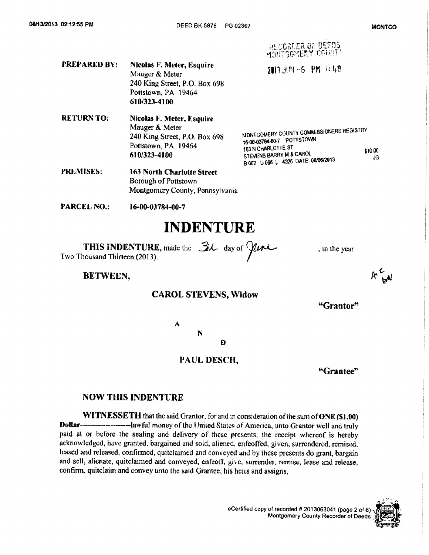HEUGROER OF DEEDS<br>MONTGOMERY COUNTY **PREPARED BY: Nicolas F. Meter, Esquire** 2013.3121-6 PM 1:48 Mauger & Meter 240 King Street, P.O. Box 698 Pottstown, PA 19464 610/323-4100 **RETURN TO:** Nicolas F. Meter, Esquire

Mauger & Meter MONTGOMERY COUNTY COMMISSIONERS REGISTRY 240 King Street, P.O. Box 698 16-00-03784-00-7 POTTSTOWN Pottstown, PA 19464 163 N CHARLOTTE ST \$10.00 STEVENS BARRY M & CAROL 610/323-4100 B 002 U 066 L 4326 DATE: 06/06/2013 JG.

- **PREMISES: 163 North Charlotte Street** Borough of Pottstown Montgomery County, Pennsylvania
- **PARCEL NO.:** 16-00-03784-00-7

# **INDENTURE**

**THIS INDENTURE**, made the  $\mathcal{B}\mathcal{L}$  day of  $\mathcal{Y}$ *the* Two Thousand Thirteen (2013).

#### BETWEEN,

#### **CAROL STEVENS, Widow**

#### "Grantor"

, in the year

N

A

Ð

#### PAUL DESCH.

"Grantee"

#### **NOW THIS INDENTURE**

WITNESSETH that the said Grantor, for and in consideration of the sum of ONE (\$1.00) Dollar-----------------------lawful money of the United States of America, unto Grantor well and truly paid at or before the sealing and delivery of these presents, the receipt whereof is hereby acknowledged, have granted, bargained and sold, aliened, enfeoffed, given, surrendered, remised, leased and released, confirmed, quitclaimed and conveyed and by these presents do grant, bargain and sell, alienate, quitclaimed and conveyed, enfeoff, give, surrender, remise, lease and release, confirm, quitclaim and convey unto the said Grantee, his heirs and assigns,

> eCertified copy of recorded # 2013063041 (page 2 of 6) Montgomery County Recorder of Deeds

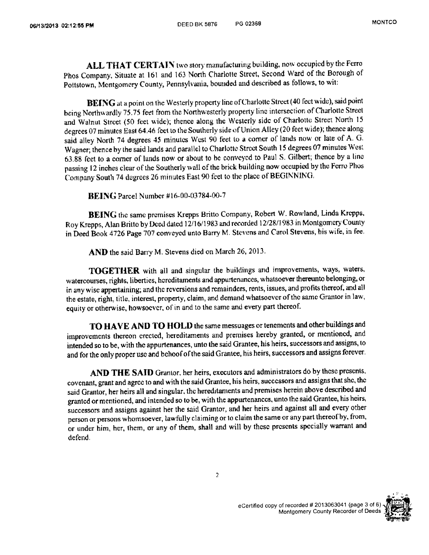ALL THAT CERTAIN two story manufacturing building, now occupied by the Ferro Phos Company, Situate at 161 and 163 North Charlotte Street, Second Ward of the Borough of Pottstown, Montgomery County, Pennsylvania, bounded and described as follows, to wit:

BEING at a point on the Westerly property line of Charlotte Street (40 feet wide), said point being Northwardly 75.75 feet from the Northwesterly property line intersection of Charlotte Street and Walnut Street (50 feet wide); thence along the Westerly side of Charlotte Street North 15 degrees 07 minutes East 64.46 feet to the Southerly side of Union Alley (20 feet wide); thence along said alley North 74 degrees 45 minutes West 90 feet to a corner of lands now or late of A. G. Wagner; thence by the said lands and parallel to Charlotte Street South 15 degrees 07 minutes West 63.88 feet to a corner of lands now or about to be conveyed to Paul S. Gilbert; thence by a line passing 12 inches clear of the Southerly wall of the brick building now occupied by the Ferro Phos Company South 74 degrees 26 minutes East 90 feet to the place of BEGINNING.

**BEING** Parcel Number #16-00-03784-00-7

BEING the same premises Krepps Britto Company, Robert W. Rowland, Linda Krepps, Roy Krepps, Alan Britto by Dced dated 12/16/1983 and recorded 12/28/1983 in Montgomery County in Deed Book 4726 Page 707 conveyed unto Barry M. Stevens and Carol Stevens, his wife, in fee.

AND the said Barry M. Stevens died on March 26, 2013.

TOGETHER with all and singular the buildings and improvements, ways, waters, watercourses, rights, liberties, hereditaments and appurtenances, whatsoever thereunto belonging, or in any wise appertaining; and the reversions and remainders, rents, issues, and profits thereof, and all the estate, right, title, interest, property, claim, and demand whatsoever of the same Grantor in law, equity or otherwise, howsoever, of in and to the same and every part thereof.

TO HAVE AND TO HOLD the same messuages or tenements and other buildings and improvements thereon erected, hereditaments and premises hereby granted, or mentioned, and intended so to be, with the appurtenances, unto the said Grantee, his heirs, successors and assigns, to and for the only proper use and behoof of the said Grantee, his heirs, successors and assigns forever.

AND THE SAID Grantor, her heirs, executors and administrators do by these presents, covenant, grant and agree to and with the said Grantee, his heirs, successors and assigns that she, the said Grantor, her heirs all and singular, the hereditaments and premises herein above described and granted or mentioned, and intended so to be, with the appurtenances, unto the said Grantee, his heirs, successors and assigns against her the said Grantor, and her heirs and against all and every other person or persons whomsoever, lawfully claiming or to claim the same or any part thereof by, from, or under him, her, them, or any of them, shall and will by these presents specially warrant and defend.



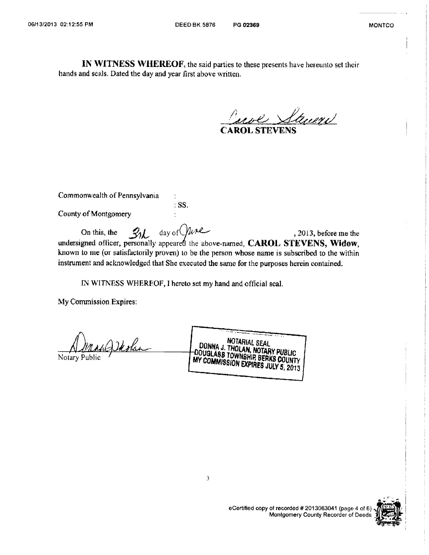IN WITNESS WHEREOF, the said parties to these presents have hereunto set their hands and seals. Dated the day and year first above written.

Carol Street

Commonwealth of Pennsylvania

 $\ddot{\cdot}$  $:$  SS.

County of Montgomery

day of ne  $31$ On this, the , 2013, before me the undersigned officer, personally appeared the above-named, CAROL STEVENS, Widow, known to me (or satisfactorily proven) to be the person whose name is subscribed to the within instrument and acknowledged that She executed the same for the purposes herein contained.

IN WITNESS WHEREOF, I hereto set my hand and official scal.

My Commission Expires:

1 Deolar

Notary Publ

NOTARIAL SEAL DONNA J. THOLAN, NOTARY PUBLIC DOUGLABB TOWNSHIP BERKS COUNTY MY COMMISSION EXPIRES JULY 5, 2013



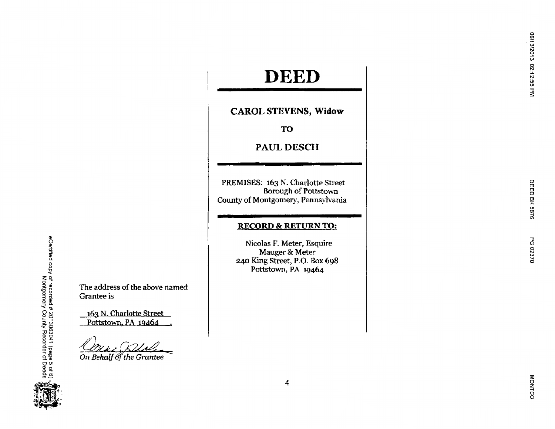# **DEED**

**CAROL STEVENS, Widow** 

TO

PAUL DESCH

PREMISES: 163 N. Charlotte Street Borough of Pottstown County of Montgomery, Pennsylvania

#### **RECORD & RETURN TO:**

Nicolas F. Meter, Esquire Mauger & Meter 240 King Street, P.O. Box 698 Pottstown, PA 19464

The address of the above named Grantee is

163 N. Charlotte Street Pottstown, PA 19464

On Behalf of the Grantee

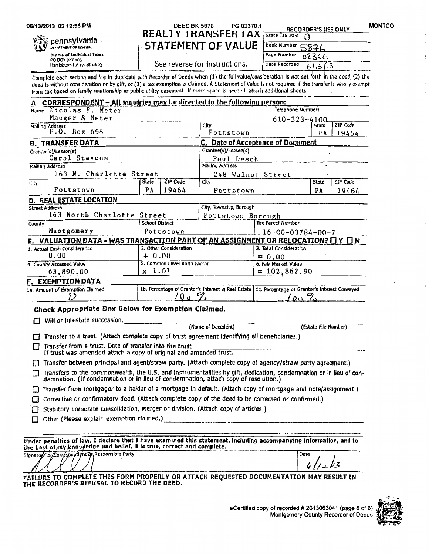06/13/2013 02:12:55 PM

﴿ وَالْأَمْرَانَةُ

pennsylvania.

Harrisburg, PA 17128-0603

DEPARTMENT OF REVENUE **Bureau of Individual Taxes** PO BOX 280603

#### PG 02370.1 DEED BK 5876 REALTY IRANSFER IAX State Tax Paid 0

**MONTCO** 

See reverse for instructions.

**STATEMENT OF VALUE** 

| Book Number 5876 |       |
|------------------|-------|
| Page Number      | 02366 |
| Date Recorded    |       |

**RECORDER'S USE ONLY** 

Complete each section and file in duplicate with Recorder of Deeds when (1) the full value/consideration is not set forth in the deed, (2) the deed is without consideration or by gift, or (3) a tax exemption is claimed. A Statement of Value is not required if the transfer is wholly exempt from tax based on family relationship or public utility easement. If more space is needed, attach additional sheets.

| A. CORRESPONDENT - All inquiries may be directed to the following person:                                                                                                                                      |                                  |                                                                                                     |                            |                      |                   |
|----------------------------------------------------------------------------------------------------------------------------------------------------------------------------------------------------------------|----------------------------------|-----------------------------------------------------------------------------------------------------|----------------------------|----------------------|-------------------|
| Name Nicolas F. Meter                                                                                                                                                                                          |                                  | Telephone Number:                                                                                   |                            |                      |                   |
| Mauger & Meter                                                                                                                                                                                                 |                                  | $610 - 323 - 4100$                                                                                  |                            |                      |                   |
| Malling Address<br>P.O. Box 698                                                                                                                                                                                |                                  | City                                                                                                |                            | <b>State</b>         | <b>ZIP</b> Code   |
|                                                                                                                                                                                                                | Pottstown                        |                                                                                                     | PA                         | 19464                |                   |
| <b>B. TRANSFER DATA</b>                                                                                                                                                                                        |                                  | C. Date of Acceptance of Document                                                                   |                            |                      |                   |
| Grantor(s)/Lessor(s)                                                                                                                                                                                           | Grantee(s)/Lessee(s)             |                                                                                                     |                            |                      |                   |
| Carol Stevens                                                                                                                                                                                                  |                                  | Paul Desch                                                                                          |                            |                      |                   |
| Mailing Address                                                                                                                                                                                                |                                  | Malling Address                                                                                     |                            |                      |                   |
| 163 N. Charlotte Street                                                                                                                                                                                        |                                  |                                                                                                     | 248 Walnut Street          |                      |                   |
| Clty<br>Pottstown                                                                                                                                                                                              | ZIP Code<br>State<br>19464<br>РA | Cltv<br>Pottstown                                                                                   |                            | State<br>PA          | ZIP Code<br>19464 |
| <b>D. REAL ESTATE LOCATION</b>                                                                                                                                                                                 |                                  |                                                                                                     |                            |                      |                   |
| <b>Street Address</b>                                                                                                                                                                                          |                                  | City, Township, Borough                                                                             |                            |                      |                   |
| 163 North Charlotte Street                                                                                                                                                                                     |                                  | Pottstown Borough                                                                                   |                            |                      |                   |
| County                                                                                                                                                                                                         | School District                  |                                                                                                     | Tax Parcel Number          |                      |                   |
| Mnotgomery                                                                                                                                                                                                     | Pottstown                        |                                                                                                     | $16 - 00 - 03784 - 00 - 7$ |                      |                   |
| E. VALUATION DATA - WAS TRANSACTION PART OF AN ASSIGNMENT OR RELOCATION? I Y IN                                                                                                                                |                                  |                                                                                                     |                            |                      |                   |
| 1. Actual Cash Consideration                                                                                                                                                                                   | 2. Other Consideration           |                                                                                                     | 3. Total Consideration     |                      |                   |
| 0.00                                                                                                                                                                                                           | + 0.00                           |                                                                                                     | $= 0.00$                   |                      |                   |
| 4. County Assessed Value                                                                                                                                                                                       | 5. Common Level Ratio Factor     |                                                                                                     | 6. Fair Market Value       |                      |                   |
| 63,890.00                                                                                                                                                                                                      | $x\;1.61$                        |                                                                                                     | $= 102,862.90$             |                      |                   |
| F. EXEMPTION DATA                                                                                                                                                                                              |                                  |                                                                                                     |                            |                      |                   |
| 1a. Amount of Exemption Claimed                                                                                                                                                                                |                                  | 1b. Percentage of Grantor's Interest in Real Estate   1c, Percentage of Grantor's Interest Conveyed |                            |                      |                   |
|                                                                                                                                                                                                                | ÖΔ                               |                                                                                                     | 7ه ده/                     |                      |                   |
| Check Appropriate Box Below for Exemption Claimed.                                                                                                                                                             |                                  |                                                                                                     |                            |                      |                   |
| Will or intestate succession.                                                                                                                                                                                  |                                  |                                                                                                     |                            |                      |                   |
|                                                                                                                                                                                                                |                                  | (Name of Decedent)                                                                                  |                            | (Estate File Number) |                   |
| Transfer to a trust. (Attach complete copy of trust agreement identifying all beneficiaries.)<br>П                                                                                                             |                                  |                                                                                                     |                            |                      |                   |
| Transfer from a trust. Date of transfer into the trust<br>If trust was amended attach a copy of original and amended trust.                                                                                    |                                  |                                                                                                     |                            |                      |                   |
| [7] Transfer between principal and agent/straw party. (Attach complete copy of agency/straw party agreement.)                                                                                                  |                                  |                                                                                                     |                            |                      |                   |
|                                                                                                                                                                                                                |                                  |                                                                                                     |                            |                      |                   |
| Transfers to the commonwealth, the U.S. and instrumentalities by gift, dedication, condemnation or in lieu of con-<br>U<br>demnation. (If condemnation or in lieu of condemnation, attach copy of resolution.) |                                  |                                                                                                     |                            |                      |                   |
| Transfer from mortgagor to a holder of a mortgage in default. (Attach copy of mortgage and note/assignment.)<br>U                                                                                              |                                  |                                                                                                     |                            |                      |                   |
| Corrective or confirmatory deed. (Attach complete copy of the deed to be corrected or confirmed.)<br>П                                                                                                         |                                  |                                                                                                     |                            |                      |                   |
|                                                                                                                                                                                                                |                                  |                                                                                                     |                            |                      |                   |
| Statutory corporate consolidation, merger or division. (Attach copy of articles.)<br>п                                                                                                                         |                                  |                                                                                                     |                            |                      |                   |
| Other (Please explain exemption claimed.)                                                                                                                                                                      |                                  |                                                                                                     |                            |                      |                   |
| Under penalties of law, I declare that I have examined this statement, including accompanying information, and to                                                                                              |                                  |                                                                                                     |                            |                      |                   |
| the best of my knoyledge and belief, it is true, correct and complete.                                                                                                                                         |                                  |                                                                                                     |                            |                      |                   |
| Signature of Correspondent Br Responsible Party                                                                                                                                                                |                                  |                                                                                                     |                            | Date                 |                   |
|                                                                                                                                                                                                                |                                  |                                                                                                     |                            | فواريه ارا           |                   |

FAILURE TO COMPLETE THIS FORM PROPERLY OR ATTACH REQUESTED DOCUMENTATION MAY RESULT IN THE RECORDER'S REFUSAL TO RECORD THE DEED.



eCertified copy of recorded # 2013063041 (page 6 of 6) Montgomery County Recorder of Deeds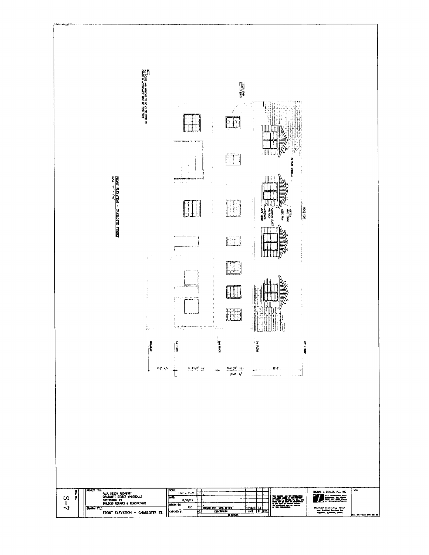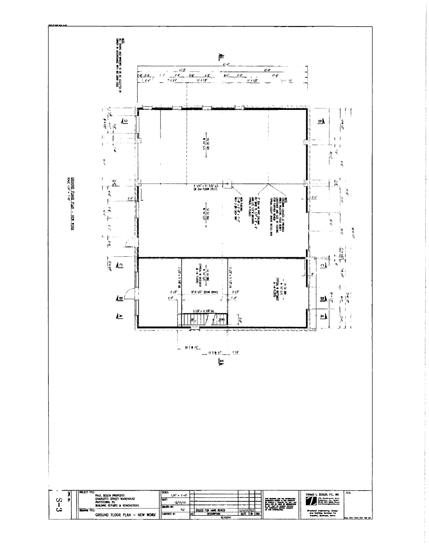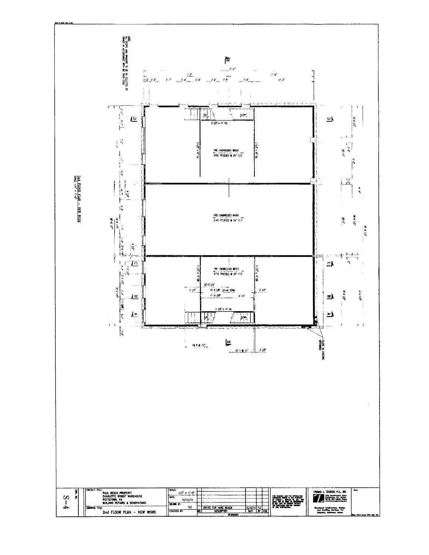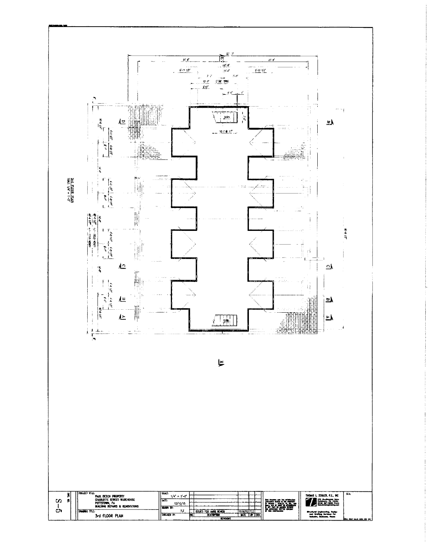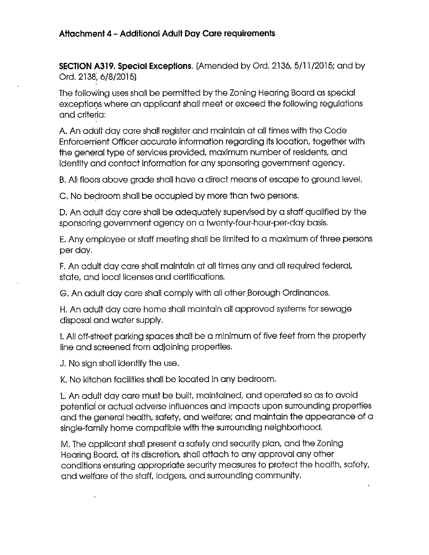### Attachment 4 - Additional Adult Day Care requirements

SECTION A319. Special Exceptions. (Amended by Ord. 2136, 5/11/2015; and by Ord. 2138, 6/8/2015)

The following uses shall be permitted by the Zoning Hearing Board as special exceptions where an applicant shall meet or exceed the following regulations and criteria:

A. An adult day care shall register and maintain at all times with the Code Enforcement Officer accurate information regarding its location, together with the general type of services provided, maximum number of residents, and identity and contact information for any sponsoring government agency.

B. All floors above grade shall have a direct means of escape to ground level.

C. No bedroom shall be occupied by more than two persons.

D. An adult day care shall be adequately supervised by a staff qualified by the sponsoring government agency on a twenty-four-hour-per-day basis.

E. Any employee or staff meeting shall be limited to a maximum of three persons per day.

F. An adult day care shall maintain at all times any and all required federal, state, and local licenses and certifications.

G. An adult day care shall comply with all other Borough Ordinances.

H. An adult day care home shall maintain all approved systems for sewage disposal and water supply.

I. All off-street parking spaces shall be a minimum of five feet from the property line and screened from adjoining properties.

J. No sign shall identify the use.

 $\overline{1}$ 

K. No kitchen facilities shall be located in any bedroom.

L. An adult day care must be built, maintained, and operated so as to avoid potential or actual adverse influences and impacts upon surrounding properties and the general health, safety, and welfare; and maintain the appearance of a single-family home compatible with the surrounding neighborhood.

M. The applicant shall present a safety and security plan, and the Zoning Hearing Board, at its discretion, shall attach to any approval any other conditions ensuring appropriate security measures to protect the health, safety, and welfare of the staff, lodgers, and surrounding community.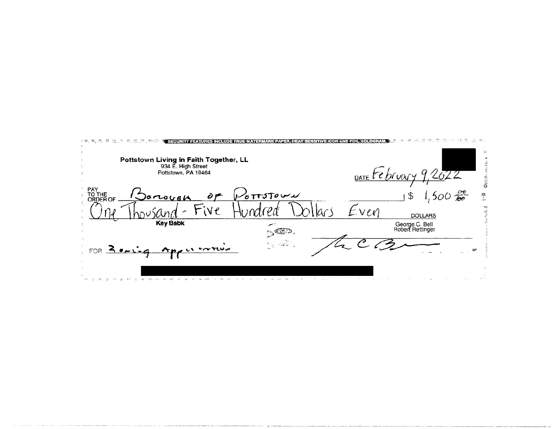| Pottstown Living in Faith Together, LL<br>934 E. High Street<br>Pottstown, PA 19464 |             | DATE te bruary |                                                |
|-------------------------------------------------------------------------------------|-------------|----------------|------------------------------------------------|
| PAY<br>TO THE<br>)orwuck<br><b>ORDER OF</b>                                         | $6$ TTSTOWN |                | $,500 \frac{56}{60}$<br>$\widehat{\mathbb{C}}$ |
|                                                                                     |             | v e vi         | <b>DOLLARS</b>                                 |
| <b>Key Babk</b>                                                                     | $\sim$ GeV. |                | George C. Bell<br>Robert Rettinger             |
| Angel entius<br>FOR $\leq$ $\frac{1}{2}$                                            | ing natio   |                |                                                |
| THE COMPANY OF STREET                                                               |             |                |                                                |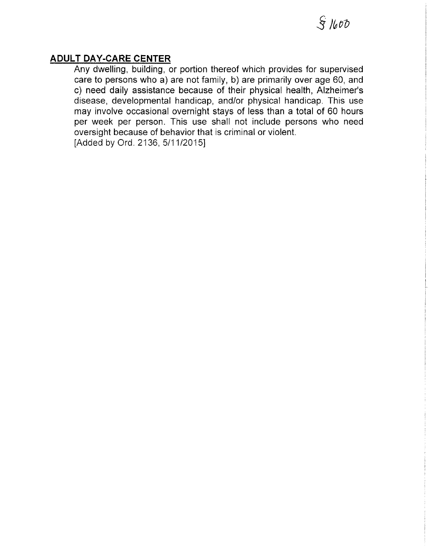### **ADULT DAY-CARE CENTER**

Any dwelling, building, or portion thereof which provides for supervised care to persons who a) are not family, b) are primarily over age 60, and c) need daily assistance because of their physical health, Alzheimer's disease, developmental handicap, and/or physical handicap. This use may involve occasional overnight stays of less than a total of 60 hours per week per person. This use shall not include persons who need oversight because of behavior that is criminal or violent. [Added by Ord. 2136, 5/11/2015]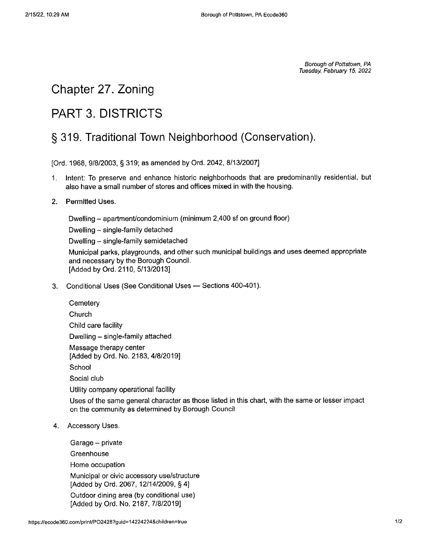Borough of Pottstown, PA Tuesday, February 15, 2022

## Chapter 27. Zoning

# **PART 3. DISTRICTS**

## § 319. Traditional Town Neighborhood (Conservation).

[Ord. 1968, 9/8/2003, § 319; as amended by Ord. 2042, 8/13/2007]

Intent: To preserve and enhance historic neighborhoods that are predominantly residential, but  $1<sup>1</sup>$ also have a small number of stores and offices mixed in with the housing.

#### $2.$ Permitted Uses.

Dwelling - apartment/condominium (minimum 2,400 sf on ground floor)

Dwelling - single-family detached

Dwelling - single-family semidetached

Municipal parks, playgrounds, and other such municipal buildings and uses deemed appropriate and necessary by the Borough Council. [Added by Ord. 2110, 5/13/2013]

3. Conditional Uses (See Conditional Uses - Sections 400-401).

Uses of the same general character as those listed in this chart, with the same or lesser impact on the community as determined by Borough Council

#### 4. Accessory Uses.

Garage - private Greenhouse Home occupation Municipal or civic accessory use/structure [Added by Ord. 2067, 12/14/2009, § 4] Outdoor dining area (by conditional use) [Added by Ord. No. 2187, 7/8/2019]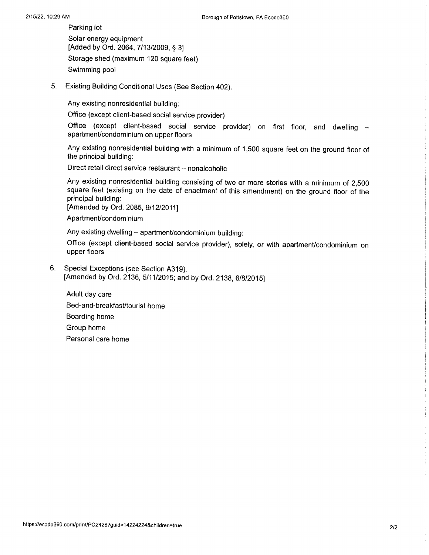Parking lot Solar energy equipment [Added by Ord. 2064, 7/13/2009, § 3] Storage shed (maximum 120 square feet) Swimming pool

 $5.$ Existing Building Conditional Uses (See Section 402).

Any existing nonresidential building:

Office (except client-based social service provider)

Office (except client-based social service provider) on first floor, and dwelling apartment/condominium on upper floors

Any existing nonresidential building with a minimum of 1,500 square feet on the ground floor of the principal building:

Direct retail direct service restaurant - nonalcoholic

Any existing nonresidential building consisting of two or more stories with a minimum of 2,500 square feet (existing on the date of enactment of this amendment) on the ground floor of the principal building:

[Amended by Ord. 2085, 9/12/2011]

Apartment/condominium

Any existing dwelling - apartment/condominium building:

Office (except client-based social service provider), solely, or with apartment/condominium on upper floors

6. Special Exceptions (see Section A319). [Amended by Ord. 2136, 5/11/2015; and by Ord. 2138, 6/8/2015]

Adult day care Bed-and-breakfast/tourist home Boarding home Group home Personal care home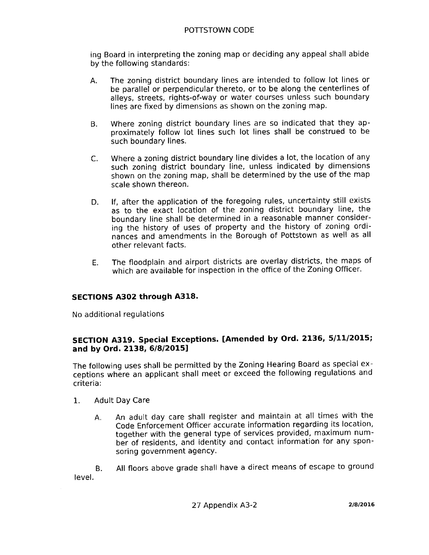#### POTTSTOWN CODE

ing Board in interpreting the zoning map or deciding any appeal shall abide by the following standards:

- The zoning district boundary lines are intended to follow lot lines or A. be parallel or perpendicular thereto, or to be along the centerlines of alleys, streets, rights-of-way or water courses unless such boundary lines are fixed by dimensions as shown on the zoning map.
- Where zoning district boundary lines are so indicated that they ap-**B.** proximately follow lot lines such lot lines shall be construed to be such boundary lines.
- $C_{\star}$ Where a zoning district boundary line divides a lot, the location of any such zoning district boundary line, unless indicated by dimensions shown on the zoning map, shall be determined by the use of the map scale shown thereon.
- If, after the application of the foregoing rules, uncertainty still exists D. as to the exact location of the zoning district boundary line, the boundary line shall be determined in a reasonable manner considering the history of uses of property and the history of zoning ordinances and amendments in the Borough of Pottstown as well as all other relevant facts.
- The floodplain and airport districts are overlay districts, the maps of E. which are available for inspection in the office of the Zoning Officer.

#### SECTIONS A302 through A318.

No additional regulations

#### SECTION A319. Special Exceptions. [Amended by Ord. 2136, 5/11/2015; and by Ord. 2138, 6/8/2015]

The following uses shall be permitted by the Zoning Hearing Board as special exceptions where an applicant shall meet or exceed the following regulations and criteria:

- 1. **Adult Day Care** 
	- An adult day care shall register and maintain at all times with the Α. Code Enforcement Officer accurate information regarding its location, together with the general type of services provided, maximum number of residents, and identity and contact information for any sponsoring government agency.

All floors above grade shall have a direct means of escape to ground В. level.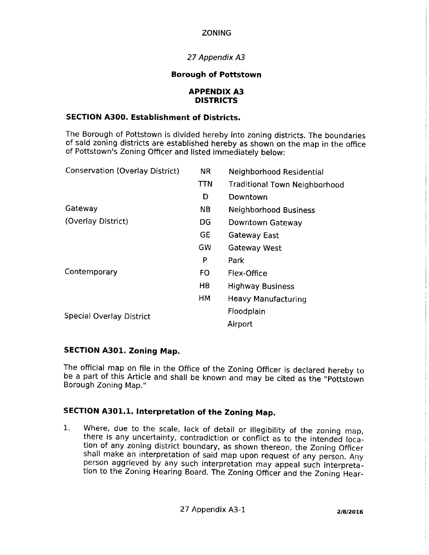#### **ZONING**

#### 27 Appendix A3

#### **Borough of Pottstown**

#### **APPENDIX A3 DISTRICTS**

#### **SECTION A300. Establishment of Districts.**

The Borough of Pottstown is divided hereby into zoning districts. The boundaries of said zoning districts are established hereby as shown on the map in the office of Pottstown's Zoning Officer and listed immediately below:

| <b>Conservation (Overlay District)</b> | <b>NR</b>  | Neighborhood Residential             |
|----------------------------------------|------------|--------------------------------------|
|                                        | <b>TTN</b> | <b>Traditional Town Neighborhood</b> |
|                                        | D          | Downtown                             |
| Gateway                                | NB.        | Neighborhood Business                |
| (Overlay District)                     | DG         | Downtown Gateway                     |
|                                        | GE         | <b>Gateway East</b>                  |
|                                        | GW         | Gateway West                         |
|                                        | P          | Park                                 |
| Contemporary                           | FO.        | Flex-Office                          |
|                                        | HB.        | <b>Highway Business</b>              |
|                                        | HM         | Heavy Manufacturing                  |
| <b>Special Overlay District</b>        |            | Floodplain                           |
|                                        |            | Airport                              |
|                                        |            |                                      |

#### **SECTION A301. Zoning Map.**

The official map on file in the Office of the Zoning Officer is declared hereby to be a part of this Article and shall be known and may be cited as the "Pottstown Borough Zoning Map."

### SECTION A301.1. Interpretation of the Zoning Map.

Where, due to the scale, lack of detail or illegibility of the zoning map,  $1<sub>1</sub>$ there is any uncertainty, contradiction or conflict as to the intended location of any zoning district boundary, as shown thereon, the Zoning Officer shall make an interpretation of said map upon request of any person. Any person aggrieved by any such interpretation may appeal such interpretation to the Zoning Hearing Board. The Zoning Officer and the Zoning Hear-